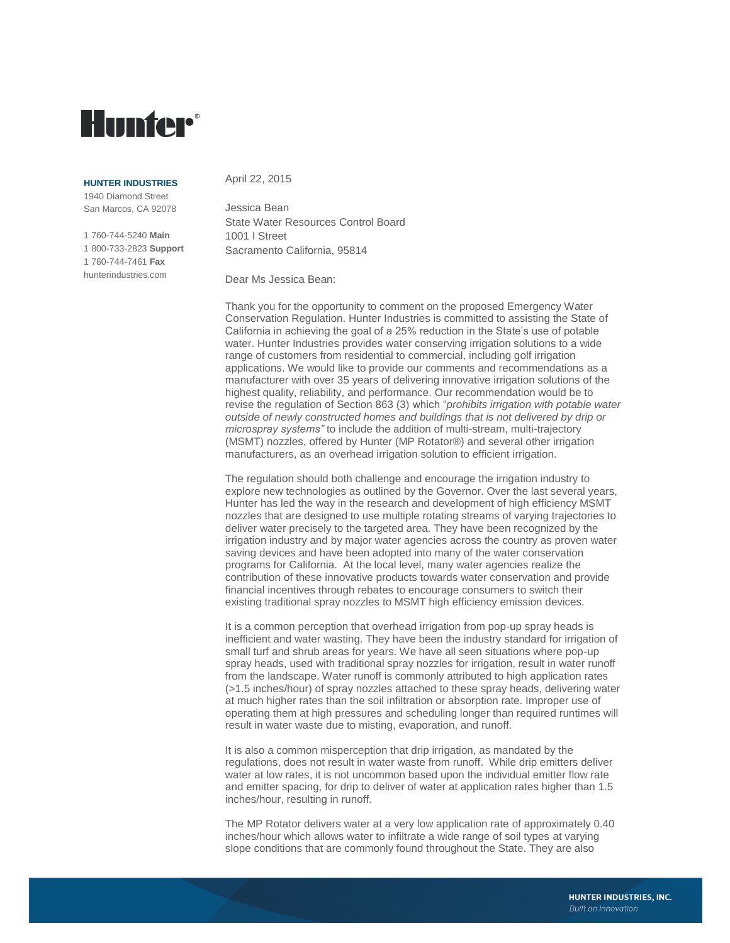# **Hunter**®

#### **HUNTER INDUSTRIES**

1940 Diamond Street San Marcos, CA 92078

1 760-744-5240 **Main** 1 800-733-2823 **Support** 1 760-744-7461 **Fax** hunterindustries.com

### April 22, 2015

Jessica Bean State Water Resources Control Board 1001 I Street Sacramento California, 95814

Dear Ms Jessica Bean:

Thank you for the opportunity to comment on the proposed Emergency Water Conservation Regulation. Hunter Industries is committed to assisting the State of California in achieving the goal of a 25% reduction in the State's use of potable water. Hunter Industries provides water conserving irrigation solutions to a wide range of customers from residential to commercial, including golf irrigation applications. We would like to provide our comments and recommendations as a manufacturer with over 35 years of delivering innovative irrigation solutions of the highest quality, reliability, and performance. Our recommendation would be to revise the regulation of Section 863 (3) which "*prohibits irrigation with potable water outside of newly constructed homes and buildings that is not delivered by drip or microspray systems"* to include the addition of multi-stream, multi-trajectory (MSMT) nozzles, offered by Hunter (MP Rotator®) and several other irrigation manufacturers, as an overhead irrigation solution to efficient irrigation.

The regulation should both challenge and encourage the irrigation industry to explore new technologies as outlined by the Governor. Over the last several years, Hunter has led the way in the research and development of high efficiency MSMT nozzles that are designed to use multiple rotating streams of varying trajectories to deliver water precisely to the targeted area. They have been recognized by the irrigation industry and by major water agencies across the country as proven water saving devices and have been adopted into many of the water conservation programs for California. At the local level, many water agencies realize the contribution of these innovative products towards water conservation and provide financial incentives through rebates to encourage consumers to switch their existing traditional spray nozzles to MSMT high efficiency emission devices.

It is a common perception that overhead irrigation from pop-up spray heads is inefficient and water wasting. They have been the industry standard for irrigation of small turf and shrub areas for years. We have all seen situations where pop-up spray heads, used with traditional spray nozzles for irrigation, result in water runoff from the landscape. Water runoff is commonly attributed to high application rates (>1.5 inches/hour) of spray nozzles attached to these spray heads, delivering water at much higher rates than the soil infiltration or absorption rate. Improper use of operating them at high pressures and scheduling longer than required runtimes will result in water waste due to misting, evaporation, and runoff.

It is also a common misperception that drip irrigation, as mandated by the regulations, does not result in water waste from runoff. While drip emitters deliver water at low rates, it is not uncommon based upon the individual emitter flow rate and emitter spacing, for drip to deliver of water at application rates higher than 1.5 inches/hour, resulting in runoff.

The MP Rotator delivers water at a very low application rate of approximately 0.40 inches/hour which allows water to infiltrate a wide range of soil types at varying slope conditions that are commonly found throughout the State. They are also